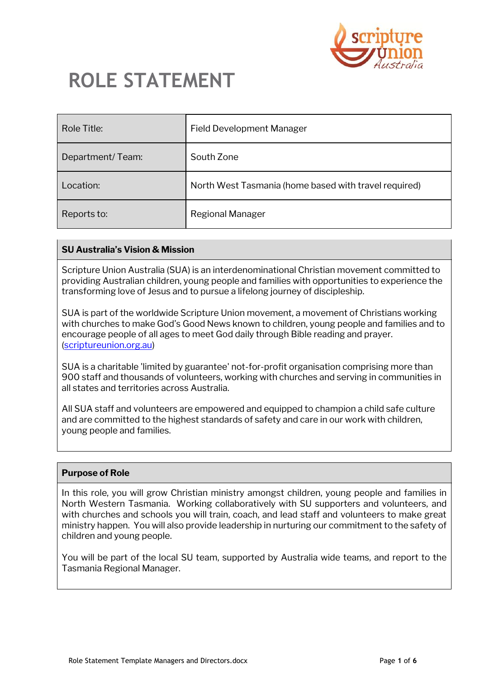

# **ROLE STATEMENT**

| Role Title:      | <b>Field Development Manager</b>                      |
|------------------|-------------------------------------------------------|
| Department/Team: | South Zone                                            |
| Location:        | North West Tasmania (home based with travel required) |
| Reports to:      | Regional Manager                                      |

### **SU Australia's Vision & Mission**

Scripture Union Australia (SUA) is an interdenominational Christian movement committed to providing Australian children, young people and families with opportunities to experience the transforming love of Jesus and to pursue a lifelong journey of discipleship.

SUA is part of the worldwide Scripture Union movement, a movement of Christians working with churches to make God's Good News known to children, young people and families and to encourage people of all ages to meet God daily through Bible reading and prayer. [\(scriptureunion.org.au\)](https://scriptureunion.org.au/)

SUA is a charitable 'limited by guarantee' not-for-profit organisation comprising more than 900 staff and thousands of volunteers, working with churches and serving in communities in all states and territories across Australia.

All SUA staff and volunteers are empowered and equipped to champion a child safe culture and are committed to the highest standards of safety and care in our work with children, young people and families.

#### **Purpose of Role**

In this role, you will grow Christian ministry amongst children, young people and families in North Western Tasmania. Working collaboratively with SU supporters and volunteers, and with churches and schools you will train, coach, and lead staff and volunteers to make great ministry happen. You will also provide leadership in nurturing our commitment to the safety of children and young people.

You will be part of the local SU team, supported by Australia wide teams, and report to the Tasmania Regional Manager.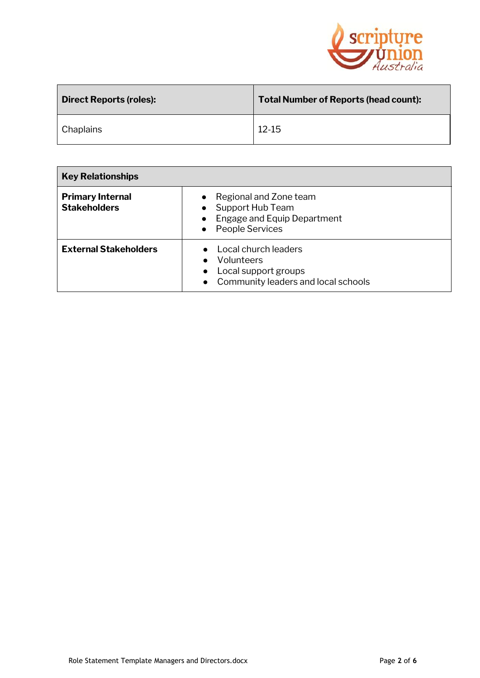

| <b>Direct Reports (roles):</b> | <b>Total Number of Reports (head count):</b> |
|--------------------------------|----------------------------------------------|
| <b>Chaplains</b>               | $12 - 15$                                    |

| <b>Key Relationships</b>                       |                                                                                                                        |
|------------------------------------------------|------------------------------------------------------------------------------------------------------------------------|
| <b>Primary Internal</b><br><b>Stakeholders</b> | Regional and Zone team<br>$\bullet$<br>Support Hub Team<br>Engage and Equip Department<br>People Services<br>$\bullet$ |
| <b>External Stakeholders</b>                   | • Local church leaders<br>Volunteers<br>Local support groups<br>Community leaders and local schools                    |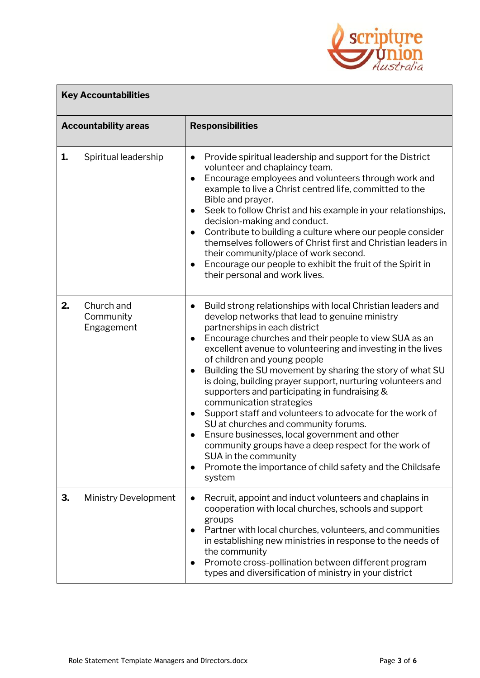

# **Key Accountabilities**

|    | <b>Accountability areas</b>           | <b>Responsibilities</b>                                                                                                                                                                                                                                                                                                                                                                                                                                                                                                                                                                                                                                                                                                                                                                                                                                                                    |
|----|---------------------------------------|--------------------------------------------------------------------------------------------------------------------------------------------------------------------------------------------------------------------------------------------------------------------------------------------------------------------------------------------------------------------------------------------------------------------------------------------------------------------------------------------------------------------------------------------------------------------------------------------------------------------------------------------------------------------------------------------------------------------------------------------------------------------------------------------------------------------------------------------------------------------------------------------|
| 1. | Spiritual leadership                  | Provide spiritual leadership and support for the District<br>$\bullet$<br>volunteer and chaplaincy team.<br>Encourage employees and volunteers through work and<br>$\bullet$<br>example to live a Christ centred life, committed to the<br>Bible and prayer.<br>Seek to follow Christ and his example in your relationships,<br>$\bullet$<br>decision-making and conduct.<br>Contribute to building a culture where our people consider<br>$\bullet$<br>themselves followers of Christ first and Christian leaders in<br>their community/place of work second.<br>Encourage our people to exhibit the fruit of the Spirit in<br>$\bullet$<br>their personal and work lives.                                                                                                                                                                                                                |
| 2. | Church and<br>Community<br>Engagement | Build strong relationships with local Christian leaders and<br>$\bullet$<br>develop networks that lead to genuine ministry<br>partnerships in each district<br>Encourage churches and their people to view SUA as an<br>$\bullet$<br>excellent avenue to volunteering and investing in the lives<br>of children and young people<br>Building the SU movement by sharing the story of what SU<br>$\bullet$<br>is doing, building prayer support, nurturing volunteers and<br>supporters and participating in fundraising &<br>communication strategies<br>Support staff and volunteers to advocate for the work of<br>$\bullet$<br>SU at churches and community forums.<br>Ensure businesses, local government and other<br>$\bullet$<br>community groups have a deep respect for the work of<br>SUA in the community<br>Promote the importance of child safety and the Childsafe<br>system |
| 3. | <b>Ministry Development</b>           | Recruit, appoint and induct volunteers and chaplains in<br>cooperation with local churches, schools and support<br>groups<br>Partner with local churches, volunteers, and communities<br>in establishing new ministries in response to the needs of<br>the community<br>Promote cross-pollination between different program<br>types and diversification of ministry in your district                                                                                                                                                                                                                                                                                                                                                                                                                                                                                                      |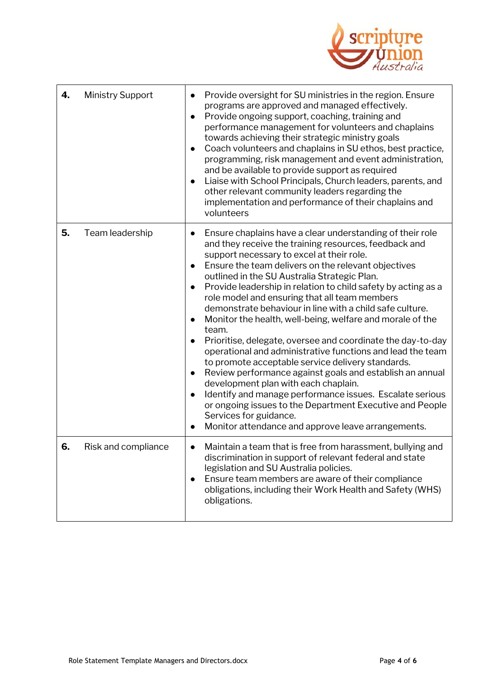

| 4. | <b>Ministry Support</b> | Provide oversight for SU ministries in the region. Ensure<br>programs are approved and managed effectively.<br>Provide ongoing support, coaching, training and<br>$\bullet$<br>performance management for volunteers and chaplains<br>towards achieving their strategic ministry goals<br>Coach volunteers and chaplains in SU ethos, best practice,<br>programming, risk management and event administration,<br>and be available to provide support as required<br>Liaise with School Principals, Church leaders, parents, and<br>other relevant community leaders regarding the<br>implementation and performance of their chaplains and<br>volunteers                                                                                                                                                                                                                                                                                                                                                                                                       |
|----|-------------------------|-----------------------------------------------------------------------------------------------------------------------------------------------------------------------------------------------------------------------------------------------------------------------------------------------------------------------------------------------------------------------------------------------------------------------------------------------------------------------------------------------------------------------------------------------------------------------------------------------------------------------------------------------------------------------------------------------------------------------------------------------------------------------------------------------------------------------------------------------------------------------------------------------------------------------------------------------------------------------------------------------------------------------------------------------------------------|
| 5. | Team leadership         | Ensure chaplains have a clear understanding of their role<br>$\bullet$<br>and they receive the training resources, feedback and<br>support necessary to excel at their role.<br>Ensure the team delivers on the relevant objectives<br>outlined in the SU Australia Strategic Plan.<br>Provide leadership in relation to child safety by acting as a<br>$\bullet$<br>role model and ensuring that all team members<br>demonstrate behaviour in line with a child safe culture.<br>Monitor the health, well-being, welfare and morale of the<br>$\bullet$<br>team.<br>Prioritise, delegate, oversee and coordinate the day-to-day<br>operational and administrative functions and lead the team<br>to promote acceptable service delivery standards.<br>Review performance against goals and establish an annual<br>development plan with each chaplain.<br>Identify and manage performance issues. Escalate serious<br>or ongoing issues to the Department Executive and People<br>Services for guidance.<br>Monitor attendance and approve leave arrangements. |
| 6. | Risk and compliance     | Maintain a team that is free from harassment, bullying and<br>discrimination in support of relevant federal and state<br>legislation and SU Australia policies.<br>Ensure team members are aware of their compliance<br>obligations, including their Work Health and Safety (WHS)<br>obligations.                                                                                                                                                                                                                                                                                                                                                                                                                                                                                                                                                                                                                                                                                                                                                               |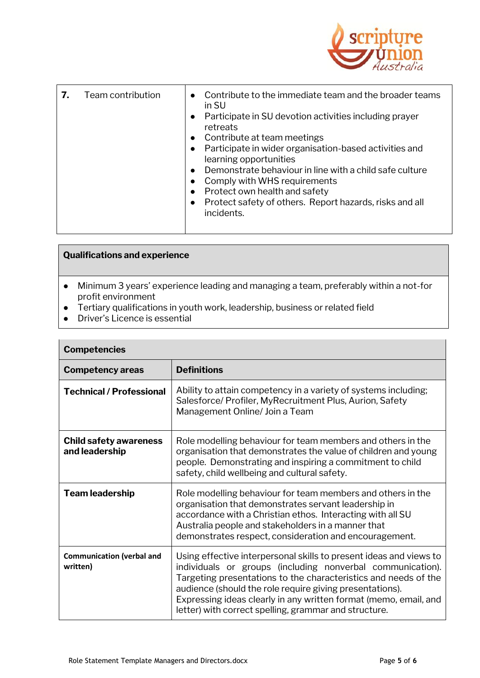

| 7. | Team contribution | Contribute to the immediate team and the broader teams<br>in SU<br>Participate in SU devotion activities including prayer<br>$\bullet$<br>retreats<br>Contribute at team meetings<br>$\bullet$<br>Participate in wider organisation-based activities and<br>learning opportunities<br>Demonstrate behaviour in line with a child safe culture<br>Comply with WHS requirements<br>Protect own health and safety<br>Protect safety of others. Report hazards, risks and all<br>incidents. |
|----|-------------------|-----------------------------------------------------------------------------------------------------------------------------------------------------------------------------------------------------------------------------------------------------------------------------------------------------------------------------------------------------------------------------------------------------------------------------------------------------------------------------------------|
|----|-------------------|-----------------------------------------------------------------------------------------------------------------------------------------------------------------------------------------------------------------------------------------------------------------------------------------------------------------------------------------------------------------------------------------------------------------------------------------------------------------------------------------|

## **Qualifications and experience**

- Minimum 3 years' experience leading and managing a team, preferably within a not-for profit environment
- Tertiary qualifications in youth work, leadership, business or related field
- Driver's Licence is essential

| <b>Competencies</b>                             |                                                                                                                                                                                                                                                                                                                                                                                              |
|-------------------------------------------------|----------------------------------------------------------------------------------------------------------------------------------------------------------------------------------------------------------------------------------------------------------------------------------------------------------------------------------------------------------------------------------------------|
| <b>Competency areas</b>                         | <b>Definitions</b>                                                                                                                                                                                                                                                                                                                                                                           |
| <b>Technical / Professional</b>                 | Ability to attain competency in a variety of systems including;<br>Salesforce/ Profiler, MyRecruitment Plus, Aurion, Safety<br>Management Online/ Join a Team                                                                                                                                                                                                                                |
| <b>Child safety awareness</b><br>and leadership | Role modelling behaviour for team members and others in the<br>organisation that demonstrates the value of children and young<br>people. Demonstrating and inspiring a commitment to child<br>safety, child wellbeing and cultural safety.                                                                                                                                                   |
| <b>Team leadership</b>                          | Role modelling behaviour for team members and others in the<br>organisation that demonstrates servant leadership in<br>accordance with a Christian ethos. Interacting with all SU<br>Australia people and stakeholders in a manner that<br>demonstrates respect, consideration and encouragement.                                                                                            |
| <b>Communication (verbal and</b><br>written)    | Using effective interpersonal skills to present ideas and views to<br>individuals or groups (including nonverbal communication).<br>Targeting presentations to the characteristics and needs of the<br>audience (should the role require giving presentations).<br>Expressing ideas clearly in any written format (memo, email, and<br>letter) with correct spelling, grammar and structure. |